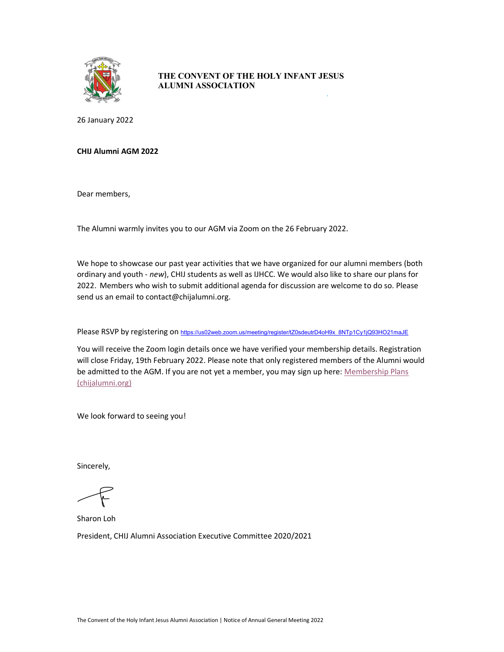

## THE CONVENT OF THE HOLY INFANT JESUS ALUMNI ASSOCIATION

26 January 2022

## CHIJ Alumni AGM 2022

Dear members,

The Alumni warmly invites you to our AGM via Zoom on the 26 February 2022.

We hope to showcase our past year activities that we have organized for our alumni members (both ordinary and youth - new), CHIJ students as well as IJHCC. We would also like to share our plans for 2022. Members who wish to submit additional agenda for discussion are welcome to do so. Please send us an email to contact@chijalumni.org.

Please RSVP by registering on https://us02web.zoom.us/meeting/register/tZ0sdeutrD4oH9x\_8NTp1Cy1jQ93HO21maJE

You will receive the Zoom login details once we have verified your membership details. Registration will close Friday, 19th February 2022. Please note that only registered members of the Alumni would be admitted to the AGM. If you are not yet a member, you may sign up here: Membership Plans (chijalumni.org)

We look forward to seeing you!

Sincerely,

Sharon Loh President, CHIJ Alumni Association Executive Committee 2020/2021